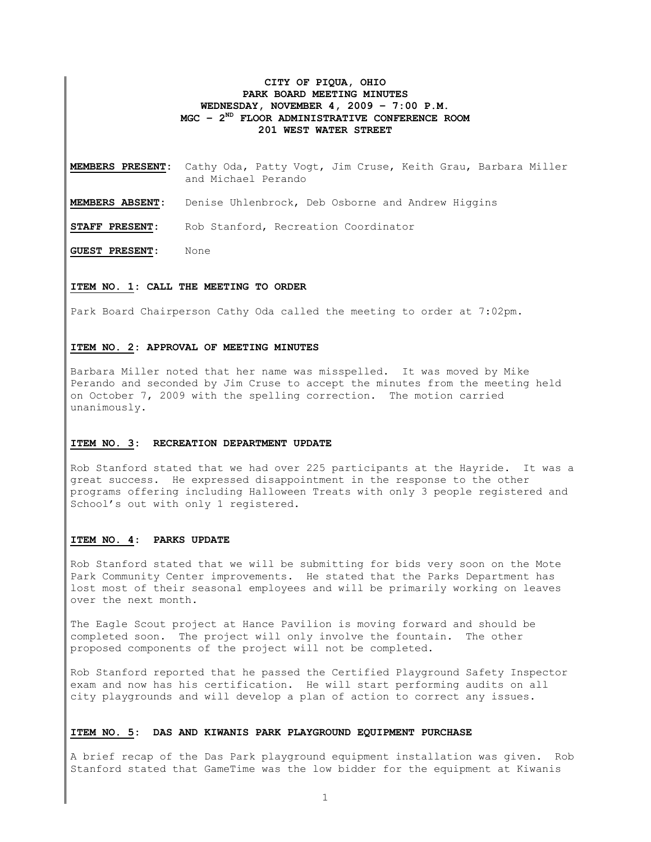# **CITY OF PIQUA, OHIO PARK BOARD MEETING MINUTES WEDNESDAY, NOVEMBER 4, 2009 – 7:00 P.M. MGC – 2ND FLOOR ADMINISTRATIVE CONFERENCE ROOM 201 WEST WATER STREET**

**MEMBERS PRESENT:** Cathy Oda, Patty Vogt, Jim Cruse, Keith Grau, Barbara Miller and Michael Perando

**MEMBERS ABSENT:** Denise Uhlenbrock, Deb Osborne and Andrew Higgins

**STAFF PRESENT:** Rob Stanford, Recreation Coordinator

**GUEST PRESENT:** None

### **ITEM NO. 1: CALL THE MEETING TO ORDER**

Park Board Chairperson Cathy Oda called the meeting to order at 7:02pm.

### **ITEM NO. 2: APPROVAL OF MEETING MINUTES**

Barbara Miller noted that her name was misspelled. It was moved by Mike Perando and seconded by Jim Cruse to accept the minutes from the meeting held on October 7, 2009 with the spelling correction. The motion carried unanimously.

### **ITEM NO. 3: RECREATION DEPARTMENT UPDATE**

Rob Stanford stated that we had over 225 participants at the Hayride. It was a great success. He expressed disappointment in the response to the other programs offering including Halloween Treats with only 3 people registered and School's out with only 1 registered.

# **ITEM NO. 4: PARKS UPDATE**

Rob Stanford stated that we will be submitting for bids very soon on the Mote Park Community Center improvements. He stated that the Parks Department has lost most of their seasonal employees and will be primarily working on leaves over the next month.

The Eagle Scout project at Hance Pavilion is moving forward and should be completed soon. The project will only involve the fountain. The other proposed components of the project will not be completed.

Rob Stanford reported that he passed the Certified Playground Safety Inspector exam and now has his certification. He will start performing audits on all city playgrounds and will develop a plan of action to correct any issues.

#### **ITEM NO. 5: DAS AND KIWANIS PARK PLAYGROUND EQUIPMENT PURCHASE**

A brief recap of the Das Park playground equipment installation was given. Rob Stanford stated that GameTime was the low bidder for the equipment at Kiwanis